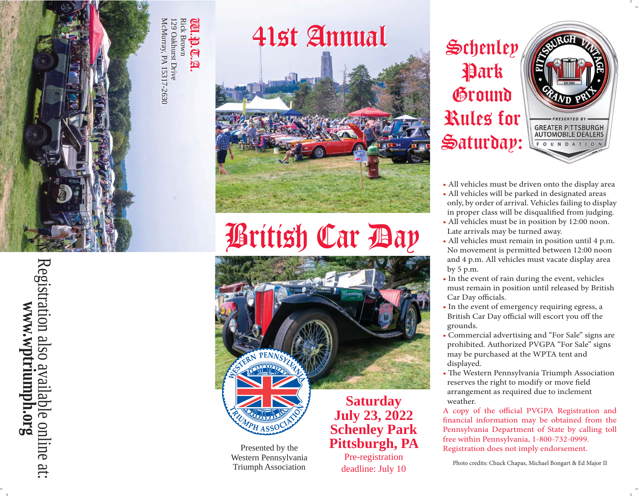



# British Car Day





Presented by the Western Pennsylvania Triumph Association

**Saturday July 23, 2022 Schenley Park Pittsburgh, PA**

Pre-registration deadline: July 10

Schenley Park **Ground** Rules for Saturday:



- All vehicles must be driven onto the display area
- All vehicles will be parked in designated areas only, by order of arrival. Vehicles failing to display in proper class will be disqualified from judging.
- All vehicles must be in position by 12:00 noon. Late arrivals may be turned away.
- All vehicles must remain in position until 4 p.m. No movement is permitted between 12:00 noon and 4 p.m. All vehicles must vacate display area by 5 p.m.
- In the event of rain during the event, vehicles must remain in position until released by British Car Day officials.
- In the event of emergency requiring egress, a British Car Day official will escort you off the grounds.
- Commercial advertising and "For Sale" signs are prohibited. Authorized PVGPA "For Sale" signs may be purchased at the WPTA tent and displayed.
- The Western Pennsylvania Triumph Association reserves the right to modify or move field arrangement as required due to inclement weather.

A copy of the official PVGPA Registration and financial information may be obtained from the Pennsylvania Department of State by calling toll free within Pennsylvania, 1‐800‐732‐0999. Registration does not imply endorsement.

Photo credits: Chuck Chapas, Michael Bongart & Ed Major II

Registration also available online at:<br>www.wptriumph.org Registration also available online at: **www.wptriumph.org**